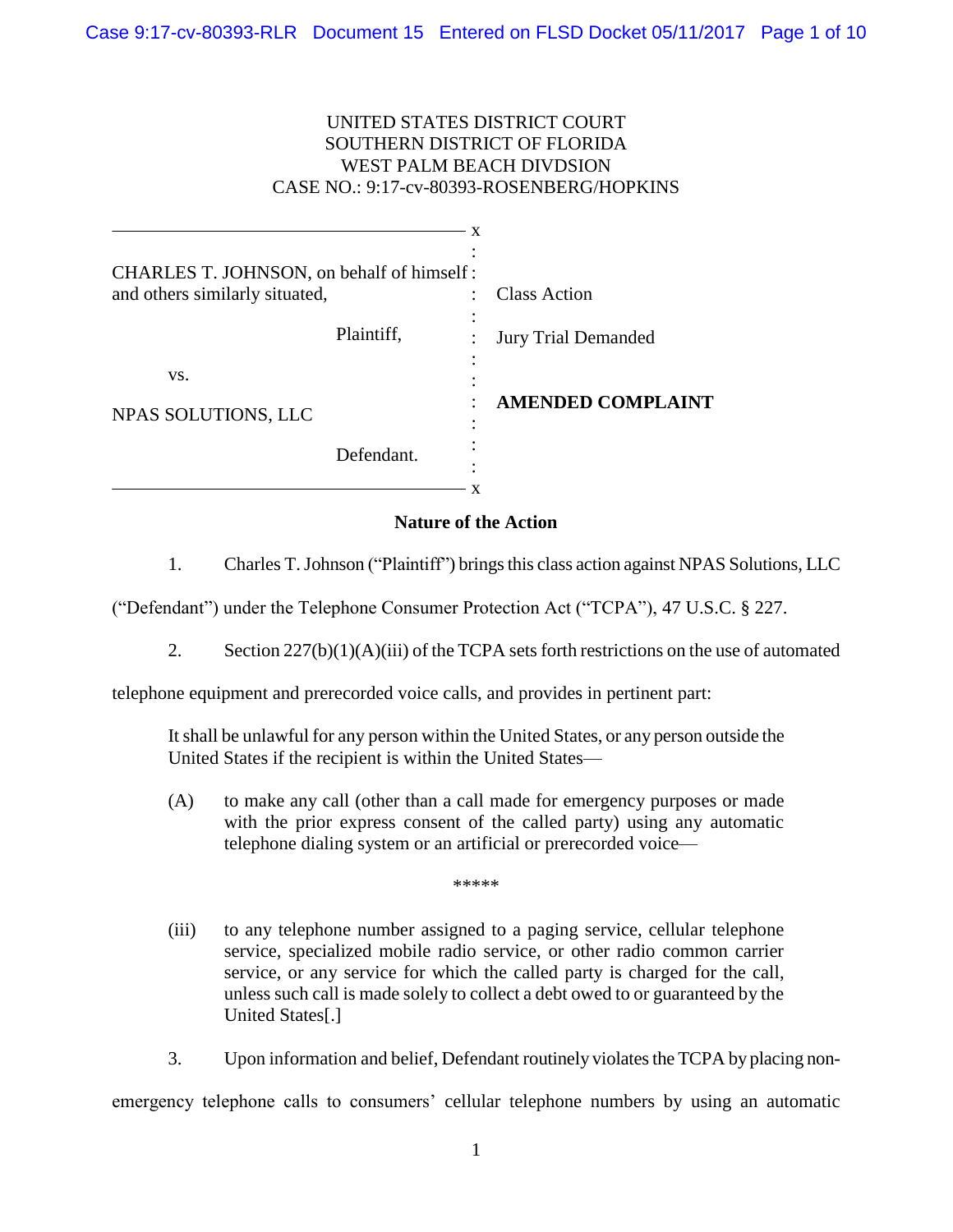# UNITED STATES DISTRICT COURT SOUTHERN DISTRICT OF FLORIDA WEST PALM BEACH DIVDSION CASE NO.: 9:17-cv-80393-ROSENBERG/HOPKINS

| CHARLES T. JOHNSON, on behalf of himself:<br>and others similarly situated, |                 | <b>Class Action</b>        |
|-----------------------------------------------------------------------------|-----------------|----------------------------|
|                                                                             | ٠<br>Plaintiff, | <b>Jury Trial Demanded</b> |
| VS.                                                                         |                 |                            |
| NPAS SOLUTIONS, LLC                                                         |                 | <b>AMENDED COMPLAINT</b>   |
|                                                                             | Defendant.      |                            |
|                                                                             |                 |                            |

# **Nature of the Action**

1. Charles T. Johnson ("Plaintiff") bringsthis class action against NPAS Solutions, LLC

("Defendant") under the Telephone Consumer Protection Act ("TCPA"), 47 U.S.C. § 227.

2. Section 227(b)(1)(A)(iii) of the TCPA sets forth restrictions on the use of automated

telephone equipment and prerecorded voice calls, and provides in pertinent part:

It shall be unlawful for any person within the United States, or any person outside the United States if the recipient is within the United States—

(A) to make any call (other than a call made for emergency purposes or made with the prior express consent of the called party) using any automatic telephone dialing system or an artificial or prerecorded voice—

\*\*\*\*\*

(iii) to any telephone number assigned to a paging service, cellular telephone service, specialized mobile radio service, or other radio common carrier service, or any service for which the called party is charged for the call, unless such call is made solely to collect a debt owed to or guaranteed by the United States[.]

3. Upon information and belief, Defendant routinely violates the TCPA by placing nonemergency telephone calls to consumers' cellular telephone numbers by using an automatic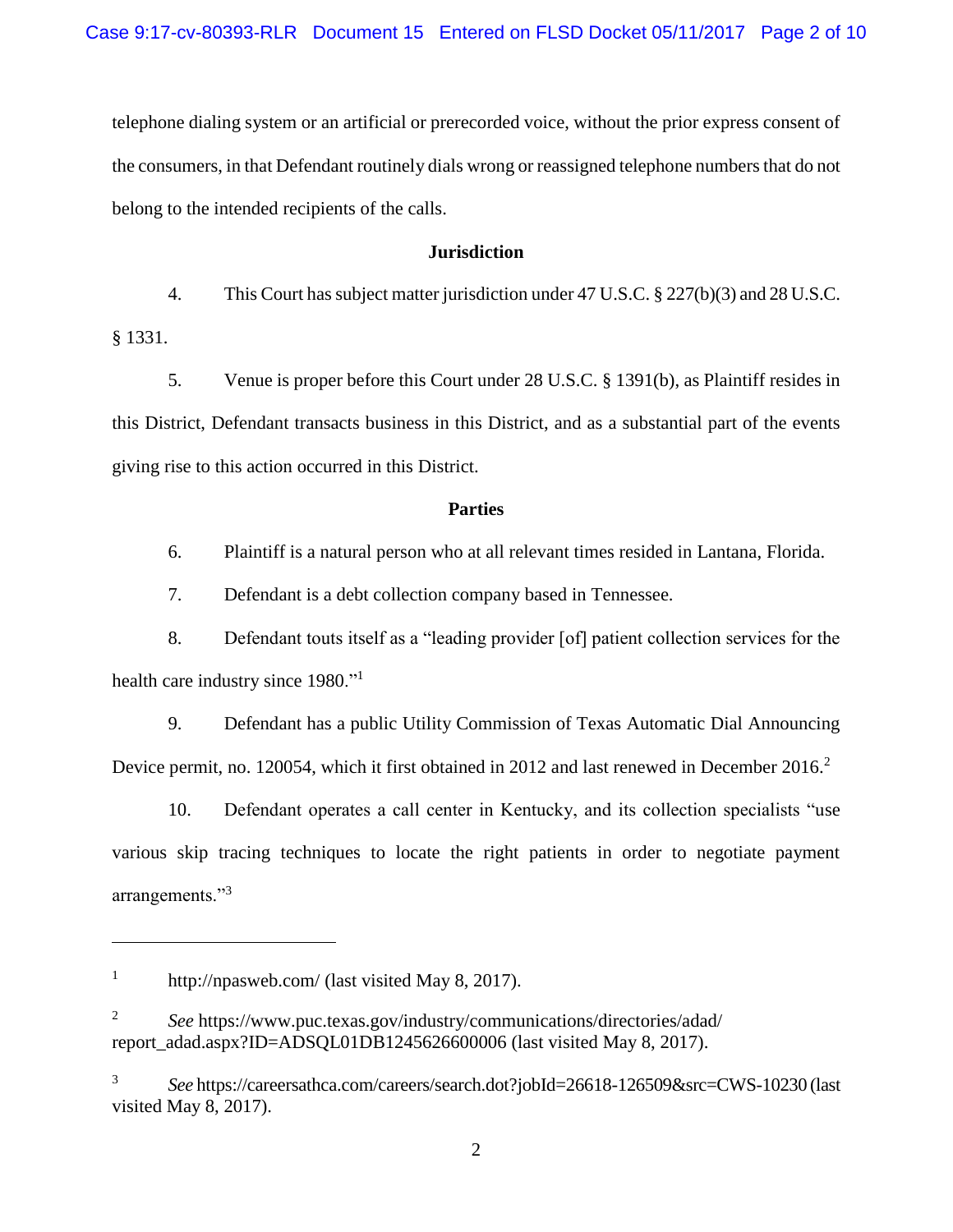telephone dialing system or an artificial or prerecorded voice, without the prior express consent of the consumers, in that Defendant routinely dials wrong or reassigned telephone numbers that do not belong to the intended recipients of the calls.

### **Jurisdiction**

4. This Court has subject matter jurisdiction under 47 U.S.C. § 227(b)(3) and 28 U.S.C. § 1331.

5. Venue is proper before this Court under 28 U.S.C. § 1391(b), as Plaintiff resides in this District, Defendant transacts business in this District, and as a substantial part of the events giving rise to this action occurred in this District.

### **Parties**

6. Plaintiff is a natural person who at all relevant times resided in Lantana, Florida.

7. Defendant is a debt collection company based in Tennessee.

8. Defendant touts itself as a "leading provider [of] patient collection services for the health care industry since 1980."<sup>1</sup>

9. Defendant has a public Utility Commission of Texas Automatic Dial Announcing Device permit, no. 120054, which it first obtained in 2012 and last renewed in December 2016.<sup>2</sup>

10. Defendant operates a call center in Kentucky, and its collection specialists "use various skip tracing techniques to locate the right patients in order to negotiate payment arrangements."<sup>3</sup>

 $\overline{a}$ 

<sup>1</sup> http://npasweb.com/ (last visited May 8, 2017).

<sup>2</sup> *See* https://www.puc.texas.gov/industry/communications/directories/adad/ report\_adad.aspx?ID=ADSQL01DB1245626600006 (last visited May 8, 2017).

<sup>3</sup> *See* https://careersathca.com/careers/search.dot?jobId=26618-126509&src=CWS-10230 (last visited May 8, 2017).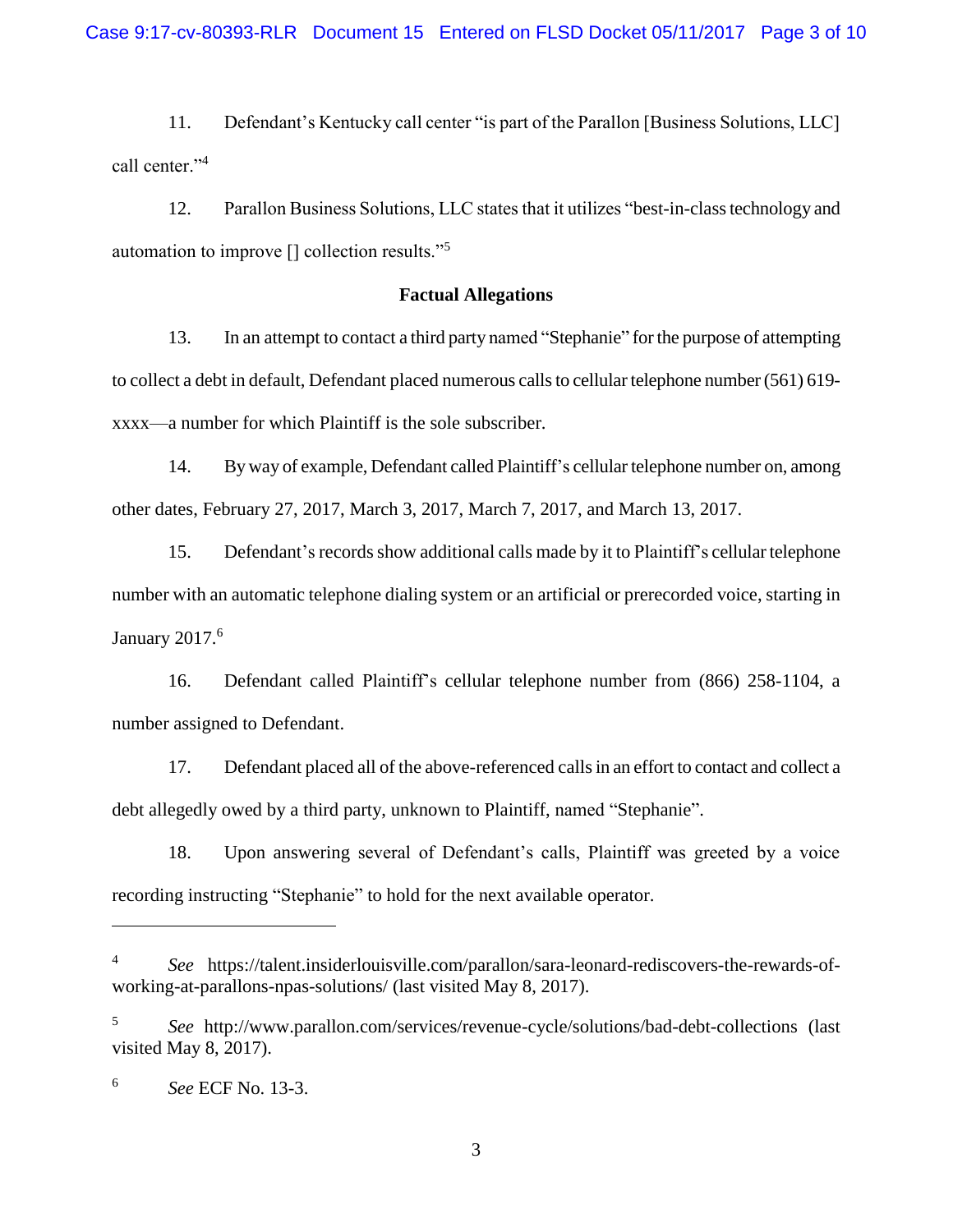11. Defendant's Kentucky call center "is part of the Parallon [Business Solutions, LLC] call center."<sup>4</sup>

12. Parallon Business Solutions, LLC states that it utilizes "best-in-class technology and automation to improve [] collection results."<sup>5</sup>

### **Factual Allegations**

13. In an attempt to contact a third party named "Stephanie" for the purpose of attempting to collect a debt in default, Defendant placed numerous calls to cellular telephone number (561) 619xxxx—a number for which Plaintiff is the sole subscriber.

14. By way of example, Defendant called Plaintiff's cellular telephone number on, among other dates, February 27, 2017, March 3, 2017, March 7, 2017, and March 13, 2017.

15. Defendant's records show additional calls made by it to Plaintiff's cellular telephone number with an automatic telephone dialing system or an artificial or prerecorded voice, starting in January 2017. 6

16. Defendant called Plaintiff's cellular telephone number from (866) 258-1104, a number assigned to Defendant.

17. Defendant placed all of the above-referenced calls in an effort to contact and collect a debt allegedly owed by a third party, unknown to Plaintiff, named "Stephanie".

18. Upon answering several of Defendant's calls, Plaintiff was greeted by a voice recording instructing "Stephanie" to hold for the next available operator.

 $\overline{a}$ 

<sup>4</sup> *See* https://talent.insiderlouisville.com/parallon/sara-leonard-rediscovers-the-rewards-ofworking-at-parallons-npas-solutions/ (last visited May 8, 2017).

<sup>5</sup> *See* http://www.parallon.com/services/revenue-cycle/solutions/bad-debt-collections (last visited May 8, 2017).

<sup>6</sup> *See* ECF No. 13-3.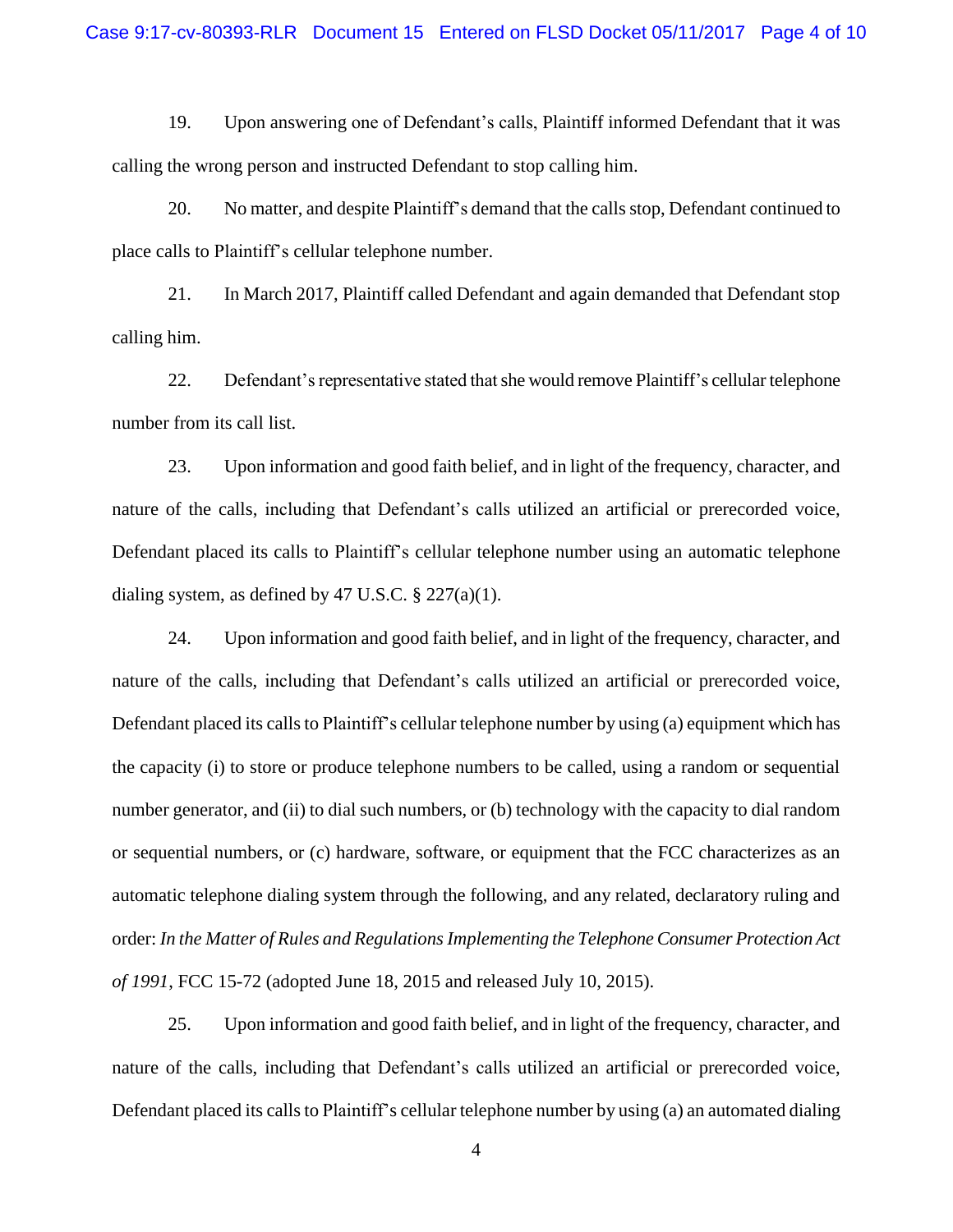19. Upon answering one of Defendant's calls, Plaintiff informed Defendant that it was calling the wrong person and instructed Defendant to stop calling him.

20. No matter, and despite Plaintiff's demand that the calls stop, Defendant continued to place calls to Plaintiff's cellular telephone number.

21. In March 2017, Plaintiff called Defendant and again demanded that Defendant stop calling him.

22. Defendant's representative stated that she would remove Plaintiff's cellular telephone number from its call list.

23. Upon information and good faith belief, and in light of the frequency, character, and nature of the calls, including that Defendant's calls utilized an artificial or prerecorded voice, Defendant placed its calls to Plaintiff's cellular telephone number using an automatic telephone dialing system, as defined by 47 U.S.C.  $\S 227(a)(1)$ .

24. Upon information and good faith belief, and in light of the frequency, character, and nature of the calls, including that Defendant's calls utilized an artificial or prerecorded voice, Defendant placed its calls to Plaintiff's cellular telephone number by using (a) equipment which has the capacity (i) to store or produce telephone numbers to be called, using a random or sequential number generator, and (ii) to dial such numbers, or (b) technology with the capacity to dial random or sequential numbers, or (c) hardware, software, or equipment that the FCC characterizes as an automatic telephone dialing system through the following, and any related, declaratory ruling and order: *In the Matter of Rules and Regulations Implementing the Telephone Consumer Protection Act of 1991*, FCC 15-72 (adopted June 18, 2015 and released July 10, 2015).

25. Upon information and good faith belief, and in light of the frequency, character, and nature of the calls, including that Defendant's calls utilized an artificial or prerecorded voice, Defendant placed its calls to Plaintiff's cellular telephone number by using (a) an automated dialing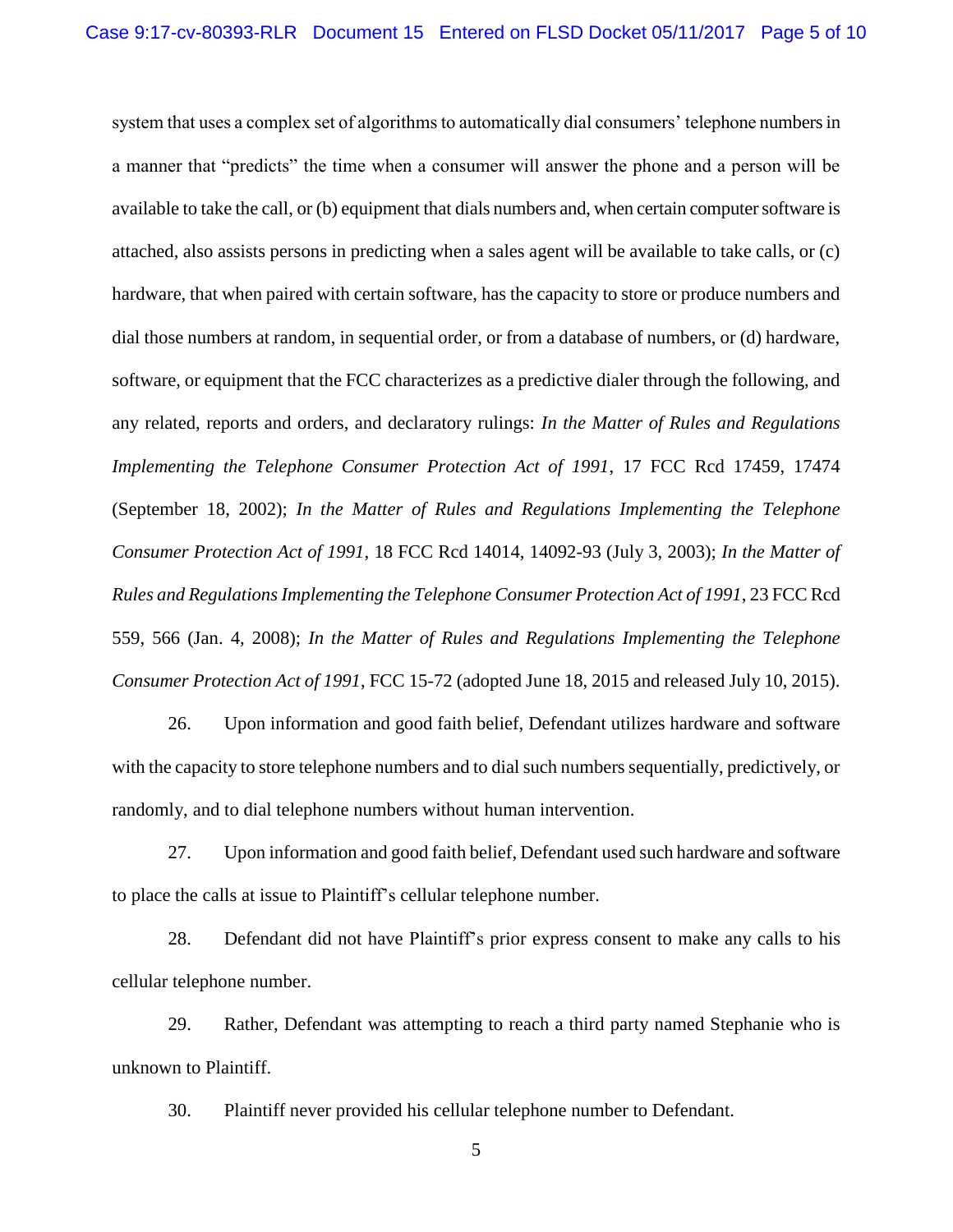system that uses a complex set of algorithms to automatically dial consumers' telephone numbers in a manner that "predicts" the time when a consumer will answer the phone and a person will be available to take the call, or (b) equipment that dials numbers and, when certain computer software is attached, also assists persons in predicting when a sales agent will be available to take calls, or (c) hardware, that when paired with certain software, has the capacity to store or produce numbers and dial those numbers at random, in sequential order, or from a database of numbers, or (d) hardware, software, or equipment that the FCC characterizes as a predictive dialer through the following, and any related, reports and orders, and declaratory rulings: *In the Matter of Rules and Regulations Implementing the Telephone Consumer Protection Act of 1991, 17 FCC Rcd 17459, 17474* (September 18, 2002); *In the Matter of Rules and Regulations Implementing the Telephone Consumer Protection Act of 1991*, 18 FCC Rcd 14014, 14092-93 (July 3, 2003); *In the Matter of Rules and Regulations Implementing the Telephone Consumer Protection Act of 1991*, 23 FCC Rcd 559, 566 (Jan. 4, 2008); *In the Matter of Rules and Regulations Implementing the Telephone Consumer Protection Act of 1991*, FCC 15-72 (adopted June 18, 2015 and released July 10, 2015).

26. Upon information and good faith belief, Defendant utilizes hardware and software with the capacity to store telephone numbers and to dial such numbers sequentially, predictively, or randomly, and to dial telephone numbers without human intervention.

27. Upon information and good faith belief, Defendant used such hardware and software to place the calls at issue to Plaintiff's cellular telephone number.

28. Defendant did not have Plaintiff's prior express consent to make any calls to his cellular telephone number.

29. Rather, Defendant was attempting to reach a third party named Stephanie who is unknown to Plaintiff.

30. Plaintiff never provided his cellular telephone number to Defendant.

5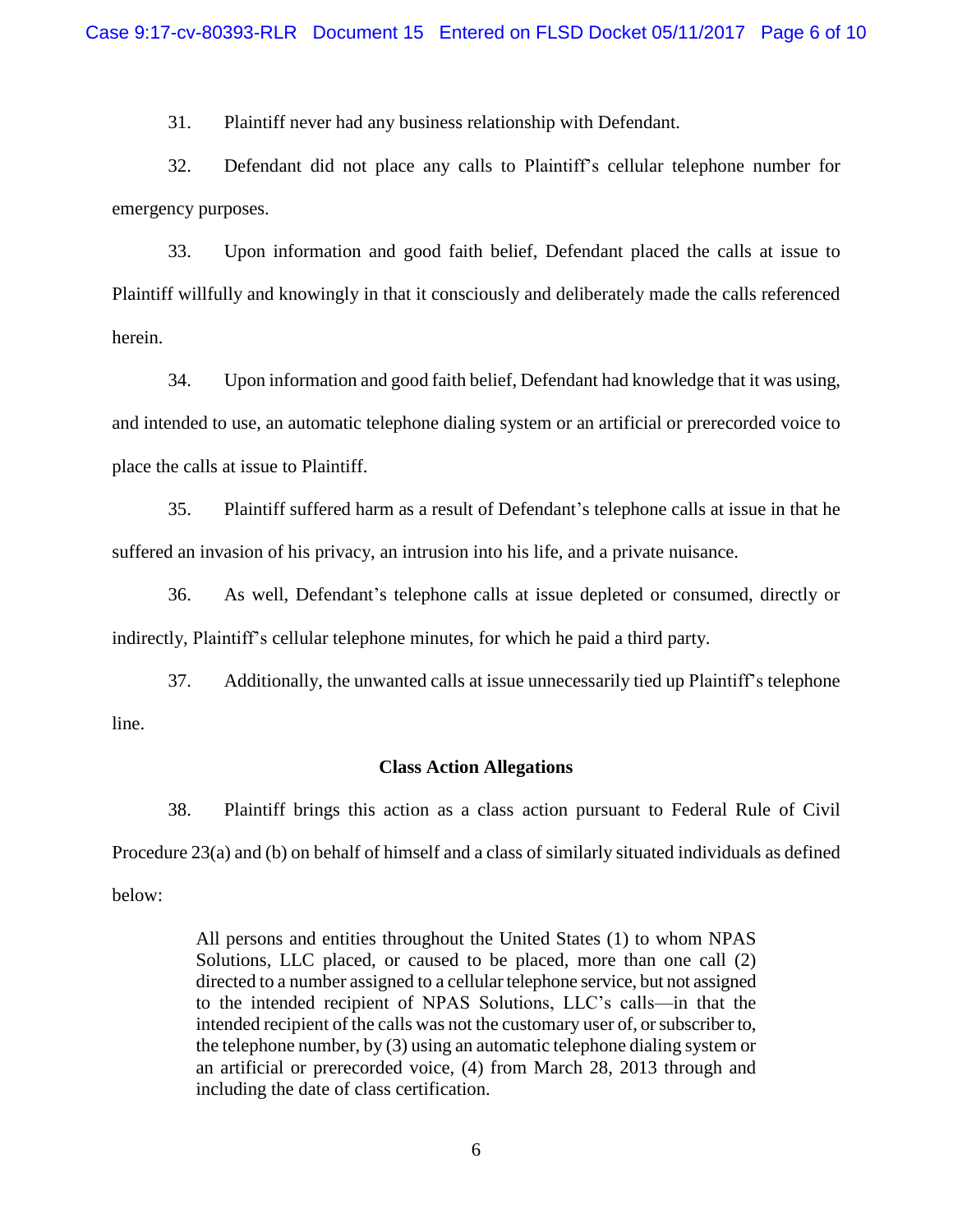31. Plaintiff never had any business relationship with Defendant.

32. Defendant did not place any calls to Plaintiff's cellular telephone number for emergency purposes.

33. Upon information and good faith belief, Defendant placed the calls at issue to Plaintiff willfully and knowingly in that it consciously and deliberately made the calls referenced herein.

34. Upon information and good faith belief, Defendant had knowledge that it was using, and intended to use, an automatic telephone dialing system or an artificial or prerecorded voice to place the calls at issue to Plaintiff.

35. Plaintiff suffered harm as a result of Defendant's telephone calls at issue in that he suffered an invasion of his privacy, an intrusion into his life, and a private nuisance.

36. As well, Defendant's telephone calls at issue depleted or consumed, directly or indirectly, Plaintiff's cellular telephone minutes, for which he paid a third party.

37. Additionally, the unwanted calls at issue unnecessarily tied up Plaintiff's telephone line.

#### **Class Action Allegations**

38. Plaintiff brings this action as a class action pursuant to Federal Rule of Civil Procedure 23(a) and (b) on behalf of himself and a class of similarly situated individuals as defined below:

> All persons and entities throughout the United States (1) to whom NPAS Solutions, LLC placed, or caused to be placed, more than one call (2) directed to a number assigned to a cellular telephone service, but not assigned to the intended recipient of NPAS Solutions, LLC's calls—in that the intended recipient of the calls was not the customary user of, or subscriber to, the telephone number, by (3) using an automatic telephone dialing system or an artificial or prerecorded voice, (4) from March 28, 2013 through and including the date of class certification.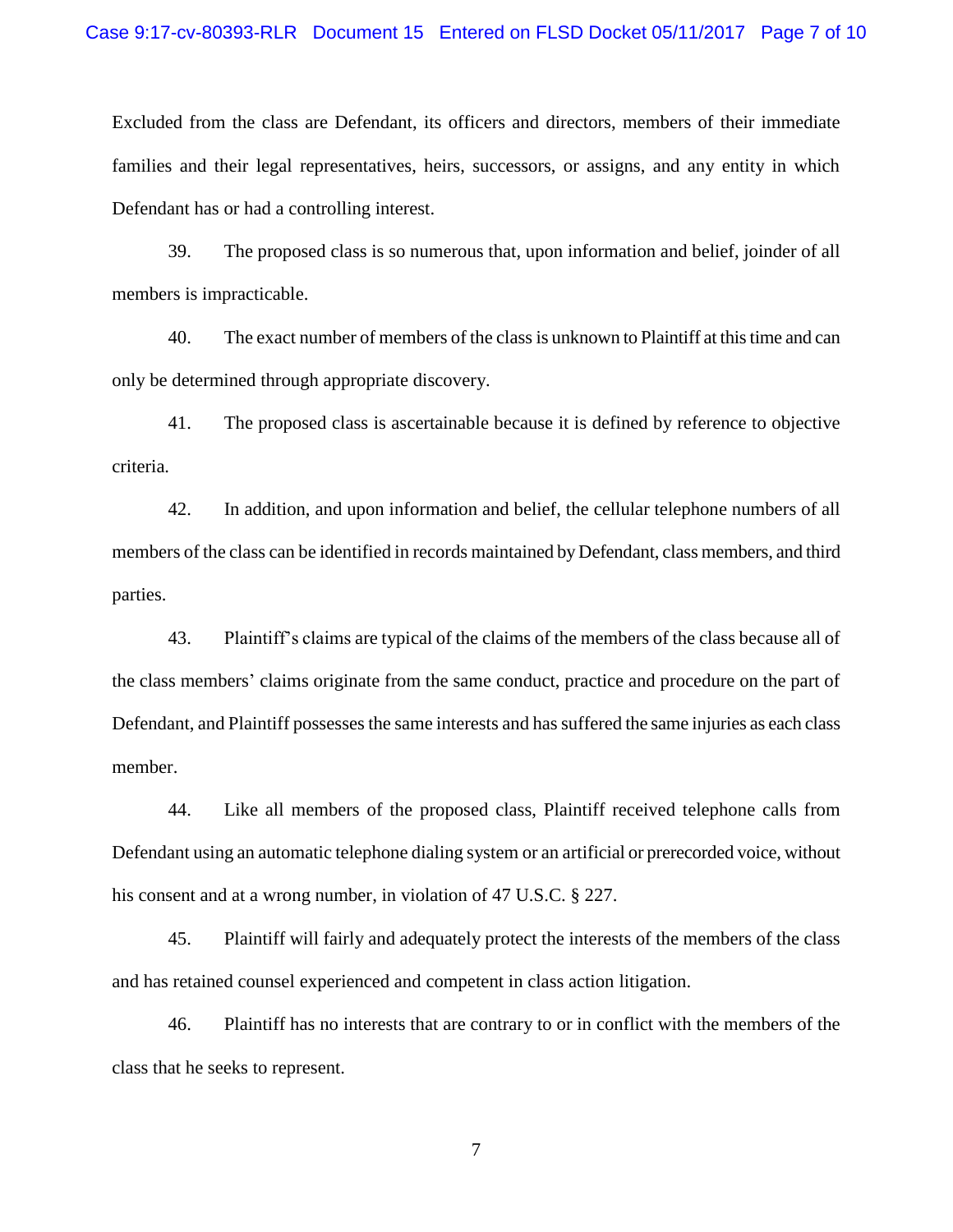Excluded from the class are Defendant, its officers and directors, members of their immediate families and their legal representatives, heirs, successors, or assigns, and any entity in which Defendant has or had a controlling interest.

39. The proposed class is so numerous that, upon information and belief, joinder of all members is impracticable.

40. The exact number of members of the classis unknown to Plaintiff at this time and can only be determined through appropriate discovery.

41. The proposed class is ascertainable because it is defined by reference to objective criteria.

42. In addition, and upon information and belief, the cellular telephone numbers of all members of the class can be identified in records maintained by Defendant, class members, and third parties.

43. Plaintiff's claims are typical of the claims of the members of the class because all of the class members' claims originate from the same conduct, practice and procedure on the part of Defendant, and Plaintiff possesses the same interests and has suffered the same injuries as each class member.

44. Like all members of the proposed class, Plaintiff received telephone calls from Defendant using an automatic telephone dialing system or an artificial or prerecorded voice, without his consent and at a wrong number, in violation of 47 U.S.C. § 227.

45. Plaintiff will fairly and adequately protect the interests of the members of the class and has retained counsel experienced and competent in class action litigation.

46. Plaintiff has no interests that are contrary to or in conflict with the members of the class that he seeks to represent.

7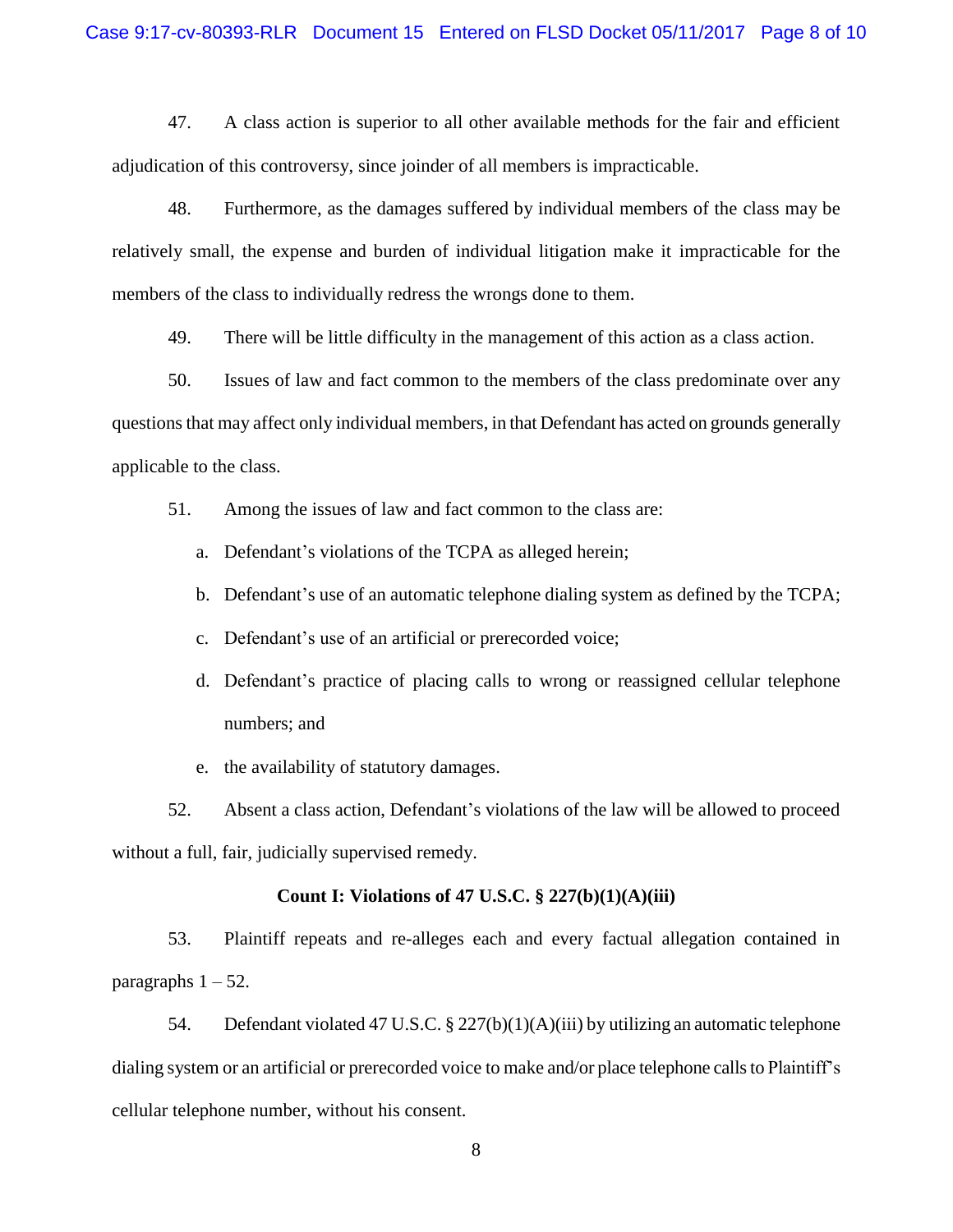47. A class action is superior to all other available methods for the fair and efficient adjudication of this controversy, since joinder of all members is impracticable.

48. Furthermore, as the damages suffered by individual members of the class may be relatively small, the expense and burden of individual litigation make it impracticable for the members of the class to individually redress the wrongs done to them.

49. There will be little difficulty in the management of this action as a class action.

50. Issues of law and fact common to the members of the class predominate over any questions that may affect only individual members, in that Defendant has acted on grounds generally applicable to the class.

51. Among the issues of law and fact common to the class are:

- a. Defendant's violations of the TCPA as alleged herein;
- b. Defendant's use of an automatic telephone dialing system as defined by the TCPA;
- c. Defendant's use of an artificial or prerecorded voice;
- d. Defendant's practice of placing calls to wrong or reassigned cellular telephone numbers; and
- e. the availability of statutory damages.

52. Absent a class action, Defendant's violations of the law will be allowed to proceed without a full, fair, judicially supervised remedy.

#### **Count I: Violations of 47 U.S.C. § 227(b)(1)(A)(iii)**

53. Plaintiff repeats and re-alleges each and every factual allegation contained in paragraphs  $1 - 52$ .

54. Defendant violated 47 U.S.C. § 227(b)(1)(A)(iii) by utilizing an automatic telephone dialing system or an artificial or prerecorded voice to make and/or place telephone calls to Plaintiff's cellular telephone number, without his consent.

8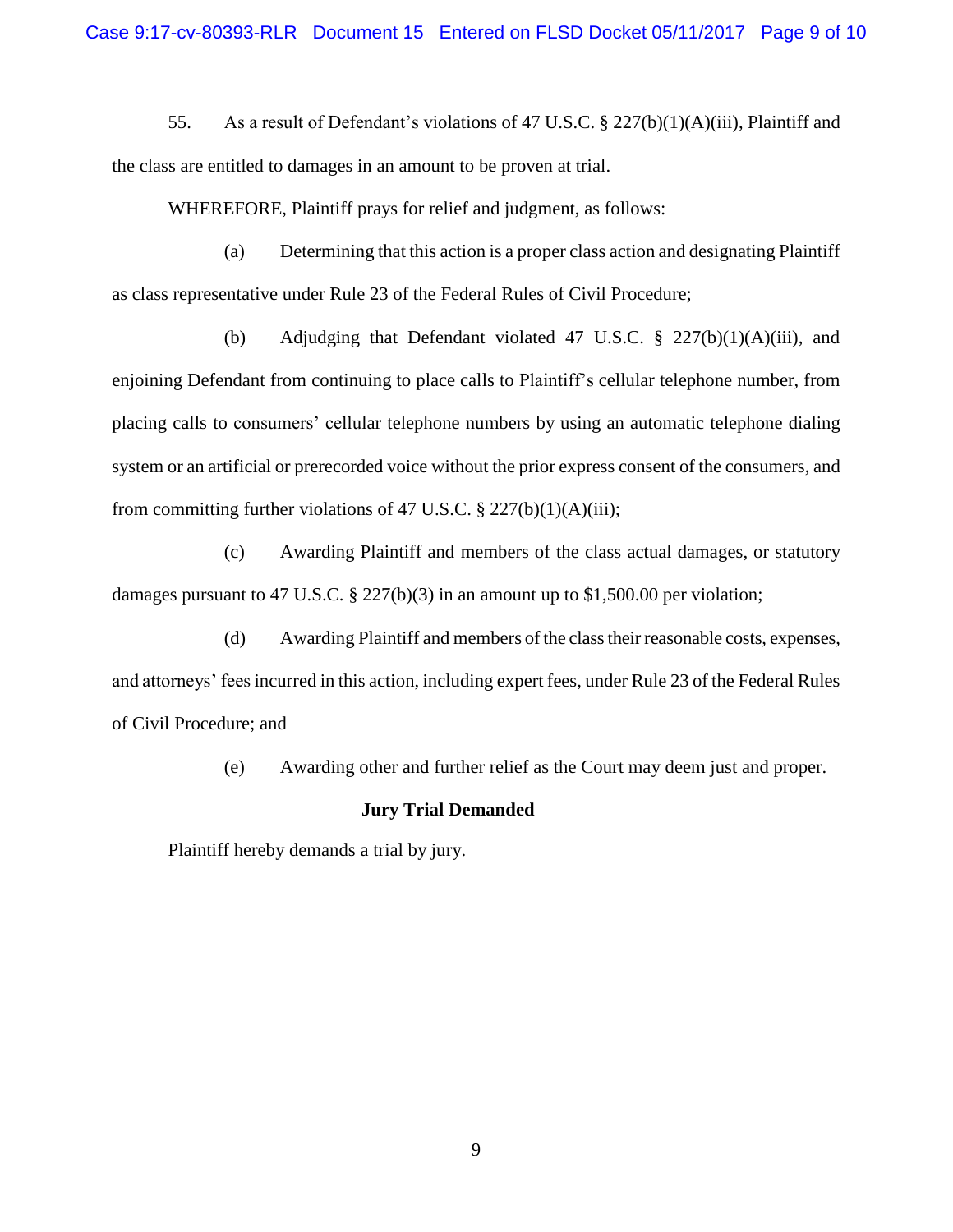55. As a result of Defendant's violations of 47 U.S.C. § 227(b)(1)(A)(iii), Plaintiff and the class are entitled to damages in an amount to be proven at trial.

WHEREFORE, Plaintiff prays for relief and judgment, as follows:

(a) Determining that this action is a proper class action and designating Plaintiff as class representative under Rule 23 of the Federal Rules of Civil Procedure;

(b) Adjudging that Defendant violated 47 U.S.C. § 227(b)(1)(A)(iii), and enjoining Defendant from continuing to place calls to Plaintiff's cellular telephone number, from placing calls to consumers' cellular telephone numbers by using an automatic telephone dialing system or an artificial or prerecorded voice without the prior express consent of the consumers, and from committing further violations of 47 U.S.C.  $\S 227(b)(1)(A)(iii)$ ;

(c) Awarding Plaintiff and members of the class actual damages, or statutory damages pursuant to 47 U.S.C. § 227(b)(3) in an amount up to \$1,500.00 per violation;

(d) Awarding Plaintiff and members of the class their reasonable costs, expenses, and attorneys' fees incurred in this action, including expert fees, under Rule 23 of the Federal Rules of Civil Procedure; and

(e) Awarding other and further relief as the Court may deem just and proper.

#### **Jury Trial Demanded**

Plaintiff hereby demands a trial by jury.